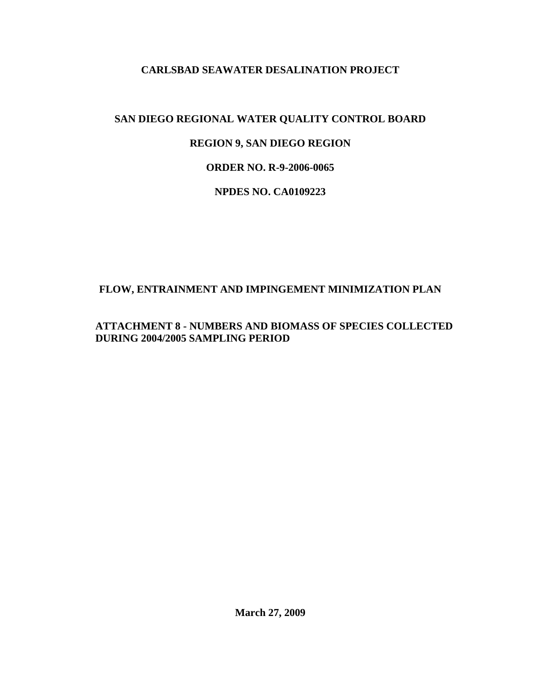#### **CARLSBAD SEAWATER DESALINATION PROJECT**

# **SAN DIEGO REGIONAL WATER QUALITY CONTROL BOARD**

# **REGION 9, SAN DIEGO REGION**

# **ORDER NO. R-9-2006-0065**

#### **NPDES NO. CA0109223**

# **FLOW, ENTRAINMENT AND IMPINGEMENT MINIMIZATION PLAN**

#### **ATTACHMENT 8 - NUMBERS AND BIOMASS OF SPECIES COLLECTED DURING 2004/2005 SAMPLING PERIOD**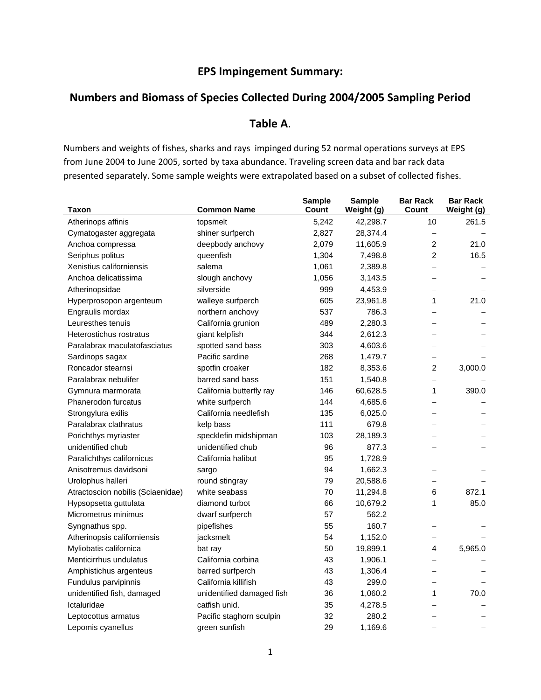### **EPS Impingement Summary:**

#### **Numbers and Biomass of Species Collected During 2004/2005 Sampling Period**

### **Table A**.

Numbers and weights of fishes, sharks and rays impinged during 52 normal operations surveys at EPS from June 2004 to June 2005, sorted by taxa abundance. Traveling screen data and bar rack data presented separately. Some sample weights were extrapolated based on a subset of collected fishes.

| Taxon                             | <b>Common Name</b>        | <b>Sample</b><br>Count | <b>Sample</b><br>Weight (g) | <b>Bar Rack</b><br>Count | <b>Bar Rack</b><br>Weight (g) |
|-----------------------------------|---------------------------|------------------------|-----------------------------|--------------------------|-------------------------------|
| Atherinops affinis                | topsmelt                  | 5,242                  | 42,298.7                    | 10                       | 261.5                         |
| Cymatogaster aggregata            | shiner surfperch          | 2,827                  | 28,374.4                    |                          |                               |
| Anchoa compressa                  | deepbody anchovy          | 2,079                  | 11,605.9                    | 2                        | 21.0                          |
| Seriphus politus                  | queenfish                 | 1,304                  | 7,498.8                     | $\overline{2}$           | 16.5                          |
| Xenistius californiensis          | salema                    | 1,061                  | 2,389.8                     | $\overline{\phantom{0}}$ |                               |
| Anchoa delicatissima              | slough anchovy            | 1,056                  | 3,143.5                     | $\overline{\phantom{0}}$ |                               |
| Atherinopsidae                    | silverside                | 999                    | 4,453.9                     | $\overline{\phantom{0}}$ |                               |
| Hyperprosopon argenteum           | walleye surfperch         | 605                    | 23,961.8                    | 1                        | 21.0                          |
| Engraulis mordax                  | northern anchovy          | 537                    | 786.3                       |                          |                               |
| Leuresthes tenuis                 | California grunion        | 489                    | 2,280.3                     |                          |                               |
| Heterostichus rostratus           | giant kelpfish            | 344                    | 2,612.3                     | $\overline{\phantom{0}}$ |                               |
| Paralabrax maculatofasciatus      | spotted sand bass         | 303                    | 4,603.6                     | $\overline{\phantom{0}}$ |                               |
| Sardinops sagax                   | Pacific sardine           | 268                    | 1,479.7                     | $\overline{\phantom{0}}$ |                               |
| Roncador stearnsi                 | spotfin croaker           | 182                    | 8,353.6                     | $\overline{2}$           | 3,000.0                       |
| Paralabrax nebulifer              | barred sand bass          | 151                    | 1,540.8                     | $\overline{\phantom{0}}$ |                               |
| Gymnura marmorata                 | California butterfly ray  | 146                    | 60,628.5                    | 1                        | 390.0                         |
| Phanerodon furcatus               | white surfperch           | 144                    | 4,685.6                     |                          |                               |
| Strongylura exilis                | California needlefish     | 135                    | 6,025.0                     |                          |                               |
| Paralabrax clathratus             | kelp bass                 | 111                    | 679.8                       |                          |                               |
| Porichthys myriaster              | specklefin midshipman     | 103                    | 28,189.3                    |                          |                               |
| unidentified chub                 | unidentified chub         | 96                     | 877.3                       |                          |                               |
| Paralichthys californicus         | California halibut        | 95                     | 1,728.9                     |                          |                               |
| Anisotremus davidsoni             | sargo                     | 94                     | 1,662.3                     |                          |                               |
| Urolophus halleri                 | round stingray            | 79                     | 20,588.6                    | $\equiv$                 |                               |
| Atractoscion nobilis (Sciaenidae) | white seabass             | 70                     | 11,294.8                    | 6                        | 872.1                         |
| Hypsopsetta guttulata             | diamond turbot            | 66                     | 10,679.2                    | 1                        | 85.0                          |
| Micrometrus minimus               | dwarf surfperch           | 57                     | 562.2                       | $\equiv$                 |                               |
| Syngnathus spp.                   | pipefishes                | 55                     | 160.7                       | $\overline{\phantom{0}}$ |                               |
| Atherinopsis californiensis       | jacksmelt                 | 54                     | 1,152.0                     | —                        |                               |
| Myliobatis californica            | bat ray                   | 50                     | 19,899.1                    | 4                        | 5,965.0                       |
| Menticirrhus undulatus            | California corbina        | 43                     | 1,906.1                     | $\overline{\phantom{0}}$ |                               |
| Amphistichus argenteus            | barred surfperch          | 43                     | 1,306.4                     |                          |                               |
| Fundulus parvipinnis              | California killifish      | 43                     | 299.0                       | $\overline{\phantom{0}}$ |                               |
| unidentified fish, damaged        | unidentified damaged fish | 36                     | 1,060.2                     | 1                        | 70.0                          |
| Ictaluridae                       | catfish unid.             | 35                     | 4,278.5                     |                          |                               |
| Leptocottus armatus               | Pacific staghorn sculpin  | 32                     | 280.2                       |                          |                               |
| Lepomis cyanellus                 | green sunfish             | 29                     | 1,169.6                     |                          |                               |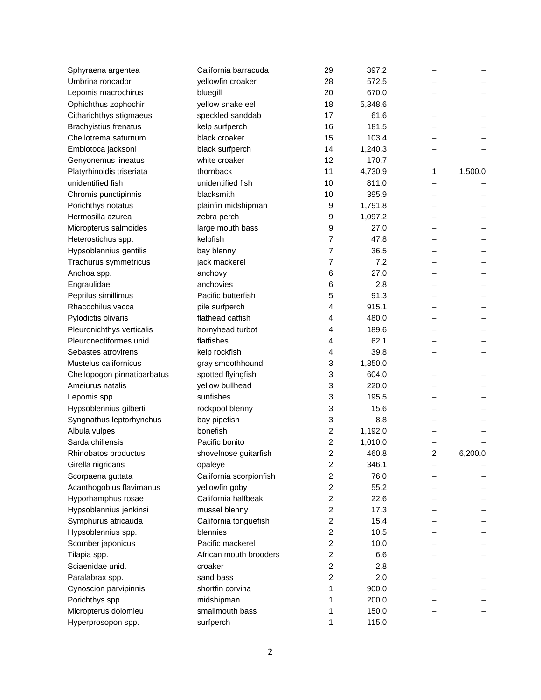| Sphyraena argentea           | California barracuda    | 29                      | 397.2   |   |         |
|------------------------------|-------------------------|-------------------------|---------|---|---------|
| Umbrina roncador             | yellowfin croaker       | 28                      | 572.5   |   |         |
| Lepomis macrochirus          | bluegill                | 20                      | 670.0   |   |         |
| Ophichthus zophochir         | yellow snake eel        | 18                      | 5,348.6 |   |         |
| Citharichthys stigmaeus      | speckled sanddab        | 17                      | 61.6    |   |         |
| <b>Brachyistius frenatus</b> | kelp surfperch          | 16                      | 181.5   |   |         |
| Cheilotrema saturnum         | black croaker           | 15                      | 103.4   |   |         |
| Embiotoca jacksoni           | black surfperch         | 14                      | 1,240.3 |   |         |
| Genyonemus lineatus          | white croaker           | 12                      | 170.7   |   |         |
| Platyrhinoidis triseriata    | thornback               | 11                      | 4,730.9 | 1 | 1,500.0 |
| unidentified fish            | unidentified fish       | 10                      | 811.0   |   |         |
| Chromis punctipinnis         | blacksmith              | 10                      | 395.9   |   |         |
| Porichthys notatus           | plainfin midshipman     | 9                       | 1,791.8 |   |         |
| Hermosilla azurea            | zebra perch             | 9                       | 1,097.2 |   |         |
| Micropterus salmoides        | large mouth bass        | 9                       | 27.0    |   |         |
| Heterostichus spp.           | kelpfish                | 7                       | 47.8    |   |         |
| Hypsoblennius gentilis       | bay blenny              | 7                       | 36.5    |   |         |
| Trachurus symmetricus        | jack mackerel           | 7                       | 7.2     |   |         |
| Anchoa spp.                  | anchovy                 | 6                       | 27.0    |   |         |
| Engraulidae                  | anchovies               | 6                       | 2.8     |   |         |
| Peprilus simillimus          | Pacific butterfish      | 5                       | 91.3    |   |         |
| Rhacochilus vacca            |                         | 4                       | 915.1   |   |         |
|                              | pile surfperch          |                         |         |   |         |
| Pylodictis olivaris          | flathead catfish        | 4                       | 480.0   |   |         |
| Pleuronichthys verticalis    | hornyhead turbot        | 4                       | 189.6   |   |         |
| Pleuronectiformes unid.      | flatfishes              | 4                       | 62.1    |   |         |
| Sebastes atrovirens          | kelp rockfish           | 4                       | 39.8    |   |         |
| Mustelus californicus        | gray smoothhound        | 3                       | 1,850.0 |   |         |
| Cheilopogon pinnatibarbatus  | spotted flyingfish      | 3                       | 604.0   |   |         |
| Ameiurus natalis             | yellow bullhead         | 3                       | 220.0   |   |         |
| Lepomis spp.                 | sunfishes               | 3                       | 195.5   |   |         |
| Hypsoblennius gilberti       | rockpool blenny         | 3                       | 15.6    |   |         |
| Syngnathus leptorhynchus     | bay pipefish            | 3                       | 8.8     |   |         |
| Albula vulpes                | bonefish                | 2                       | 1,192.0 |   |         |
| Sarda chiliensis             | Pacific bonito          | 2                       | 1,010.0 |   |         |
| Rhinobatos productus         | shovelnose guitarfish   | 2                       | 460.8   | 2 | 6,200.0 |
| Girella nigricans            | opaleye                 | $\overline{\mathbf{c}}$ | 346.1   |   |         |
| Scorpaena guttata            | California scorpionfish | 2                       | 76.0    |   |         |
| Acanthogobius flavimanus     | yellowfin goby          | 2                       | 55.2    |   |         |
| Hyporhamphus rosae           | California halfbeak     | 2                       | 22.6    |   |         |
| Hypsoblennius jenkinsi       | mussel blenny           | $\overline{c}$          | 17.3    |   |         |
| Symphurus atricauda          | California tonguefish   | 2                       | 15.4    |   |         |
| Hypsoblennius spp.           | blennies                | $\overline{\mathbf{c}}$ | 10.5    |   |         |
| Scomber japonicus            | Pacific mackerel        | 2                       | 10.0    |   |         |
| Tilapia spp.                 | African mouth brooders  | $\overline{c}$          | 6.6     |   |         |
| Sciaenidae unid.             | croaker                 | 2                       | 2.8     |   |         |
| Paralabrax spp.              | sand bass               | 2                       | 2.0     |   |         |
| Cynoscion parvipinnis        | shortfin corvina        | 1                       | 900.0   |   |         |
| Porichthys spp.              | midshipman              | 1                       | 200.0   |   |         |
| Micropterus dolomieu         | smallmouth bass         | 1                       | 150.0   |   |         |
| Hyperprosopon spp.           | surfperch               | 1                       | 115.0   |   |         |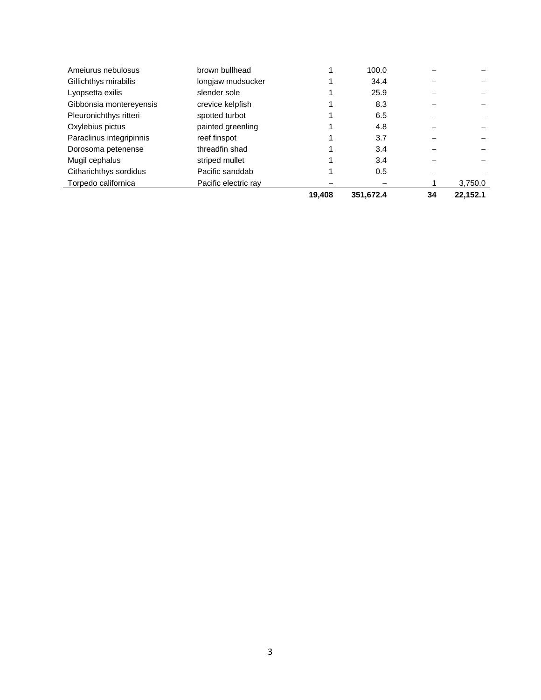| Ameiurus nebulosus       | brown bullhead       |        | 100.0     |    |          |
|--------------------------|----------------------|--------|-----------|----|----------|
| Gillichthys mirabilis    | longjaw mudsucker    |        | 34.4      |    |          |
| Lyopsetta exilis         | slender sole         |        | 25.9      |    |          |
| Gibbonsia montereyensis  | crevice kelpfish     |        | 8.3       |    |          |
| Pleuronichthys ritteri   | spotted turbot       |        | 6.5       |    |          |
| Oxylebius pictus         | painted greenling    |        | 4.8       |    |          |
| Paraclinus integripinnis | reef finspot         |        | 3.7       |    |          |
| Dorosoma petenense       | threadfin shad       |        | 3.4       |    |          |
| Mugil cephalus           | striped mullet       |        | 3.4       |    |          |
| Citharichthys sordidus   | Pacific sanddab      |        | 0.5       |    |          |
| Torpedo californica      | Pacific electric ray |        |           |    | 3,750.0  |
|                          |                      | 19.408 | 351,672.4 | 34 | 22.152.1 |